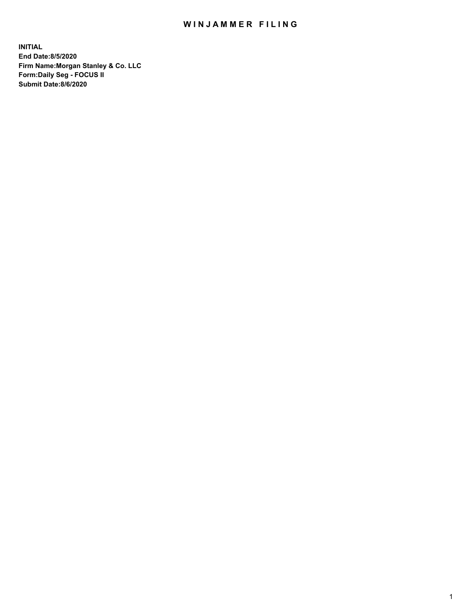## WIN JAMMER FILING

**INITIAL End Date:8/5/2020 Firm Name:Morgan Stanley & Co. LLC Form:Daily Seg - FOCUS II Submit Date:8/6/2020**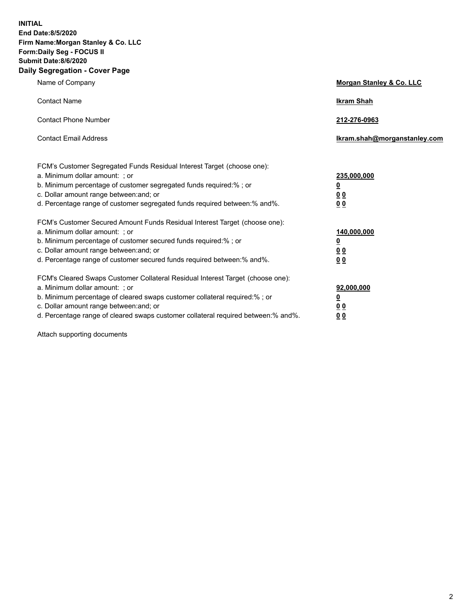**INITIAL End Date:8/5/2020 Firm Name:Morgan Stanley & Co. LLC Form:Daily Seg - FOCUS II Submit Date:8/6/2020 Daily Segregation - Cover Page**

| Name of Company                                                                                                                                                                                                                                                                                                                | Morgan Stanley & Co. LLC                                    |
|--------------------------------------------------------------------------------------------------------------------------------------------------------------------------------------------------------------------------------------------------------------------------------------------------------------------------------|-------------------------------------------------------------|
| <b>Contact Name</b>                                                                                                                                                                                                                                                                                                            | <b>Ikram Shah</b>                                           |
| <b>Contact Phone Number</b>                                                                                                                                                                                                                                                                                                    | 212-276-0963                                                |
| <b>Contact Email Address</b>                                                                                                                                                                                                                                                                                                   | Ikram.shah@morganstanley.com                                |
| FCM's Customer Segregated Funds Residual Interest Target (choose one):<br>a. Minimum dollar amount: ; or<br>b. Minimum percentage of customer segregated funds required:% ; or<br>c. Dollar amount range between: and; or<br>d. Percentage range of customer segregated funds required between:% and%.                         | 235,000,000<br><u>0</u><br>0 Q<br>0 <sub>0</sub>            |
| FCM's Customer Secured Amount Funds Residual Interest Target (choose one):<br>a. Minimum dollar amount: : or<br>b. Minimum percentage of customer secured funds required:%; or<br>c. Dollar amount range between: and; or<br>d. Percentage range of customer secured funds required between:% and%.                            | 140,000,000<br><u>0</u><br>0 <sub>0</sub><br>0 <sub>0</sub> |
| FCM's Cleared Swaps Customer Collateral Residual Interest Target (choose one):<br>a. Minimum dollar amount: ; or<br>b. Minimum percentage of cleared swaps customer collateral required:% ; or<br>c. Dollar amount range between: and; or<br>d. Percentage range of cleared swaps customer collateral required between:% and%. | 92,000,000<br><u>0</u><br>0 Q<br>0 <sub>0</sub>             |

Attach supporting documents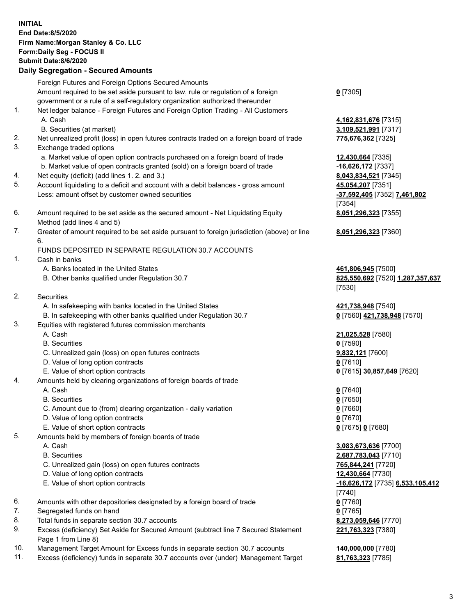|     | <b>INITIAL</b><br>End Date: 8/5/2020<br>Firm Name: Morgan Stanley & Co. LLC<br>Form: Daily Seg - FOCUS II<br><b>Submit Date: 8/6/2020</b><br><b>Daily Segregation - Secured Amounts</b>                                 |                                                                  |
|-----|-------------------------------------------------------------------------------------------------------------------------------------------------------------------------------------------------------------------------|------------------------------------------------------------------|
|     | Foreign Futures and Foreign Options Secured Amounts<br>Amount required to be set aside pursuant to law, rule or regulation of a foreign<br>government or a rule of a self-regulatory organization authorized thereunder | $0$ [7305]                                                       |
| 1.  | Net ledger balance - Foreign Futures and Foreign Option Trading - All Customers<br>A. Cash                                                                                                                              | 4,162,831,676 [7315]                                             |
| 2.  | B. Securities (at market)<br>Net unrealized profit (loss) in open futures contracts traded on a foreign board of trade                                                                                                  | 3,109,521,991 [7317]<br>775,676,362 [7325]                       |
| 3.  | Exchange traded options                                                                                                                                                                                                 |                                                                  |
|     | a. Market value of open option contracts purchased on a foreign board of trade                                                                                                                                          | 12,430,664 [7335]                                                |
|     | b. Market value of open contracts granted (sold) on a foreign board of trade                                                                                                                                            | -16,626,172 [7337]                                               |
| 4.  | Net equity (deficit) (add lines 1. 2. and 3.)                                                                                                                                                                           | 8,043,834,521 [7345]                                             |
| 5.  | Account liquidating to a deficit and account with a debit balances - gross amount                                                                                                                                       | 45,054,207 [7351]                                                |
|     | Less: amount offset by customer owned securities                                                                                                                                                                        | -37,592,405 [7352] 7,461,802<br>[7354]                           |
| 6.  | Amount required to be set aside as the secured amount - Net Liquidating Equity                                                                                                                                          | 8,051,296,323 [7355]                                             |
|     | Method (add lines 4 and 5)                                                                                                                                                                                              |                                                                  |
| 7.  | Greater of amount required to be set aside pursuant to foreign jurisdiction (above) or line                                                                                                                             | 8,051,296,323 [7360]                                             |
|     | 6.                                                                                                                                                                                                                      |                                                                  |
|     | FUNDS DEPOSITED IN SEPARATE REGULATION 30.7 ACCOUNTS                                                                                                                                                                    |                                                                  |
| 1.  | Cash in banks                                                                                                                                                                                                           |                                                                  |
|     | A. Banks located in the United States<br>B. Other banks qualified under Regulation 30.7                                                                                                                                 | 461,806,945 [7500]<br>825,550,692 [7520] 1,287,357,637<br>[7530] |
| 2.  | <b>Securities</b>                                                                                                                                                                                                       |                                                                  |
|     | A. In safekeeping with banks located in the United States                                                                                                                                                               | 421,738,948 [7540]                                               |
|     | B. In safekeeping with other banks qualified under Regulation 30.7                                                                                                                                                      | 0 [7560] 421,738,948 [7570]                                      |
| 3.  | Equities with registered futures commission merchants<br>A. Cash                                                                                                                                                        |                                                                  |
|     | <b>B.</b> Securities                                                                                                                                                                                                    | 21,025,528 [7580]<br>$0$ [7590]                                  |
|     | C. Unrealized gain (loss) on open futures contracts                                                                                                                                                                     | 9,832,121 [7600]                                                 |
|     | D. Value of long option contracts                                                                                                                                                                                       | $0$ [7610]                                                       |
|     | E. Value of short option contracts                                                                                                                                                                                      | 0 [7615] 30,857,649 [7620]                                       |
| 4.  | Amounts held by clearing organizations of foreign boards of trade                                                                                                                                                       |                                                                  |
|     | A. Cash                                                                                                                                                                                                                 | $0$ [7640]                                                       |
|     | <b>B.</b> Securities<br>C. Amount due to (from) clearing organization - daily variation                                                                                                                                 | $0$ [7650]                                                       |
|     | D. Value of long option contracts                                                                                                                                                                                       | $0$ [7660]<br>$0$ [7670]                                         |
|     | E. Value of short option contracts                                                                                                                                                                                      | 0 [7675] 0 [7680]                                                |
| 5.  | Amounts held by members of foreign boards of trade                                                                                                                                                                      |                                                                  |
|     | A. Cash                                                                                                                                                                                                                 | 3,083,673,636 [7700]                                             |
|     | <b>B.</b> Securities                                                                                                                                                                                                    | 2,687,783,043 [7710]                                             |
|     | C. Unrealized gain (loss) on open futures contracts                                                                                                                                                                     | 765,844,241 [7720]                                               |
|     | D. Value of long option contracts                                                                                                                                                                                       | 12,430,664 [7730]                                                |
|     | E. Value of short option contracts                                                                                                                                                                                      | -16,626,172 [7735] 6,533,105,412<br>$[7740]$                     |
| 6.  | Amounts with other depositories designated by a foreign board of trade                                                                                                                                                  | $0$ [7760]                                                       |
| 7.  | Segregated funds on hand                                                                                                                                                                                                | $0$ [7765]                                                       |
| 8.  | Total funds in separate section 30.7 accounts                                                                                                                                                                           | 8,273,059,646 [7770]                                             |
| 9.  | Excess (deficiency) Set Aside for Secured Amount (subtract line 7 Secured Statement<br>Page 1 from Line 8)                                                                                                              | 221,763,323 [7380]                                               |
| 10. | Management Target Amount for Excess funds in separate section 30.7 accounts                                                                                                                                             | 140,000,000 [7780]                                               |

11. Excess (deficiency) funds in separate 30.7 accounts over (under) Management Target **81,763,323** [7785]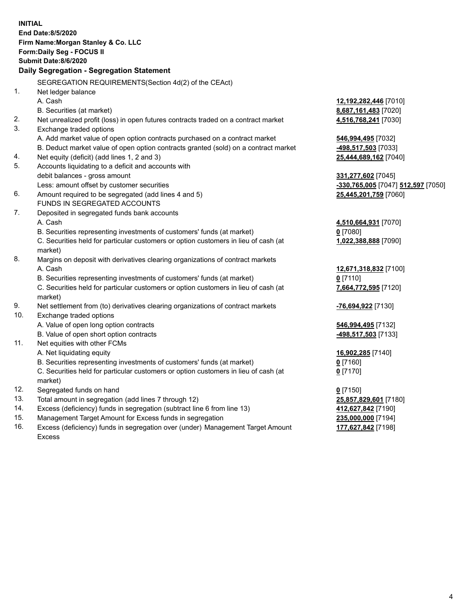|     | <b>INITIAL</b><br>End Date:8/5/2020<br>Firm Name: Morgan Stanley & Co. LLC<br>Form: Daily Seg - FOCUS II<br><b>Submit Date:8/6/2020</b><br>Daily Segregation - Segregation Statement |                                    |
|-----|--------------------------------------------------------------------------------------------------------------------------------------------------------------------------------------|------------------------------------|
|     | SEGREGATION REQUIREMENTS(Section 4d(2) of the CEAct)                                                                                                                                 |                                    |
| 1.  | Net ledger balance                                                                                                                                                                   |                                    |
|     | A. Cash                                                                                                                                                                              | 12,192,282,446 [7010]              |
|     | B. Securities (at market)                                                                                                                                                            | 8,687,161,483 [7020]               |
| 2.  | Net unrealized profit (loss) in open futures contracts traded on a contract market                                                                                                   | 4,516,768,241 [7030]               |
| 3.  | Exchange traded options                                                                                                                                                              |                                    |
|     | A. Add market value of open option contracts purchased on a contract market                                                                                                          | 546,994,495 [7032]                 |
|     | B. Deduct market value of open option contracts granted (sold) on a contract market                                                                                                  | 498,517,503 [7033]                 |
| 4.  | Net equity (deficit) (add lines 1, 2 and 3)                                                                                                                                          | 25,444,689,162 [7040]              |
| 5.  | Accounts liquidating to a deficit and accounts with                                                                                                                                  |                                    |
|     | debit balances - gross amount                                                                                                                                                        | 331,277,602 [7045]                 |
|     | Less: amount offset by customer securities                                                                                                                                           | -330,765,005 [7047] 512,597 [7050] |
| 6.  | Amount required to be segregated (add lines 4 and 5)                                                                                                                                 | 25,445,201,759 [7060]              |
|     | FUNDS IN SEGREGATED ACCOUNTS                                                                                                                                                         |                                    |
| 7.  | Deposited in segregated funds bank accounts                                                                                                                                          |                                    |
|     | A. Cash                                                                                                                                                                              | 4,510,664,931 [7070]               |
|     | B. Securities representing investments of customers' funds (at market)                                                                                                               | $0$ [7080]                         |
|     | C. Securities held for particular customers or option customers in lieu of cash (at<br>market)                                                                                       | 1,022,388,888 [7090]               |
| 8.  | Margins on deposit with derivatives clearing organizations of contract markets                                                                                                       |                                    |
|     | A. Cash                                                                                                                                                                              | 12,671,318,832 [7100]              |
|     | B. Securities representing investments of customers' funds (at market)                                                                                                               | $0$ [7110]                         |
|     | C. Securities held for particular customers or option customers in lieu of cash (at                                                                                                  | 7,664,772,595 [7120]               |
|     | market)                                                                                                                                                                              |                                    |
| 9.  | Net settlement from (to) derivatives clearing organizations of contract markets                                                                                                      | -76,694,922 [7130]                 |
| 10. | Exchange traded options                                                                                                                                                              |                                    |
|     | A. Value of open long option contracts                                                                                                                                               | 546,994,495 [7132]                 |
|     | B. Value of open short option contracts                                                                                                                                              | 498,517,503 [7133]                 |
| 11. | Net equities with other FCMs                                                                                                                                                         |                                    |
|     | A. Net liquidating equity                                                                                                                                                            | 16,902,285 [7140]                  |
|     | B. Securities representing investments of customers' funds (at market)                                                                                                               | <u>0</u> [7160]                    |
|     | C. Securities held for particular customers or option customers in lieu of cash (at<br>market)                                                                                       | $0$ [7170]                         |
| 12. | Segregated funds on hand                                                                                                                                                             | $0$ [7150]                         |
| 13. | Total amount in segregation (add lines 7 through 12)                                                                                                                                 | 25,857,829,601 [7180]              |
| 14. | Excess (deficiency) funds in segregation (subtract line 6 from line 13)                                                                                                              | 412,627,842 [7190]                 |
| 15. | Management Target Amount for Excess funds in segregation                                                                                                                             | 235,000,000 [7194]                 |
|     |                                                                                                                                                                                      |                                    |

16. Excess (deficiency) funds in segregation over (under) Management Target Amount Excess

**177,627,842** [7198]